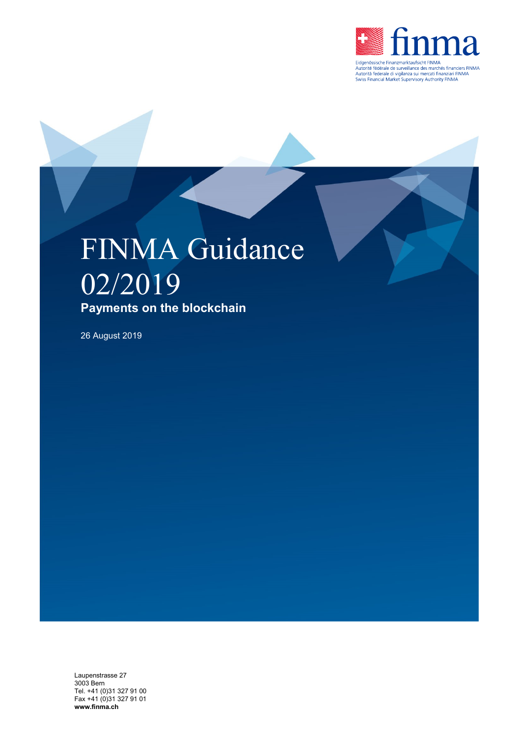

## FINMA Guidance 02/2019 **Payments on the blockchain**

26 August 2019

Laupenstrasse 27 3003 Bern Tel. +41 (0)31 327 91 00 Fax +41 (0)31 327 91 01 **www.finma.ch**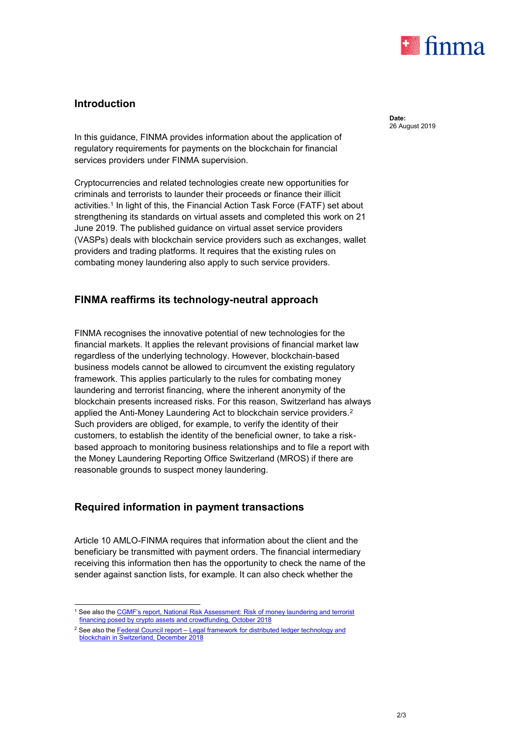

## **Introduction**

In this guidance, FINMA provides information about the application of regulatory requirements for payments on the blockchain for financial services providers under FINMA supervision.

Cryptocurrencies and related technologies create new opportunities for criminals and terrorists to launder their proceeds or finance their illicit activities.<sup>1</sup> In light of this, the Financial Action Task Force (FATF) set about strengthening its standards on virtual assets and completed this work on 21 June 2019. The published guidance on virtual asset service providers (VASPs) deals with blockchain service providers such as exchanges, wallet providers and trading platforms. It requires that the existing rules on combating money laundering also apply to such service providers.

## **FINMA reaffirms its technology-neutral approach**

FINMA recognises the innovative potential of new technologies for the financial markets. It applies the relevant provisions of financial market law regardless of the underlying technology. However, blockchain-based business models cannot be allowed to circumvent the existing regulatory framework. This applies particularly to the rules for combating money laundering and terrorist financing, where the inherent anonymity of the blockchain presents increased risks. For this reason, Switzerland has always applied the Anti-Money Laundering Act to blockchain service providers.<sup>2</sup> Such providers are obliged, for example, to verify the identity of their customers, to establish the identity of the beneficial owner, to take a riskbased approach to monitoring business relationships and to file a report with the Money Laundering Reporting Office Switzerland (MROS) if there are reasonable grounds to suspect money laundering.

## **Required information in payment transactions**

Article 10 AMLO-FINMA requires that information about the client and the beneficiary be transmitted with payment orders. The financial intermediary receiving this information then has the opportunity to check the name of the sender against sanction lists, for example. It can also check whether the

**Date:** 26 August 2019

<sup>-</sup><sup>1</sup> See also the [CGMF's report, National Risk Assessment:](https://www.newsd.admin.ch/newsd/message/attachments/56166.pdf) Risk of money laundering and terrorist financing posed by [crypto assets and crowdfunding, October 2018](https://www.newsd.admin.ch/newsd/message/attachments/56166.pdf)

<sup>&</sup>lt;sup>2</sup> See also the Federal Council report – Legal framework for distributed ledger technology and blockchain [in Switzerland, December 2018](https://www.newsd.admin.ch/newsd/message/attachments/55153.pdf)